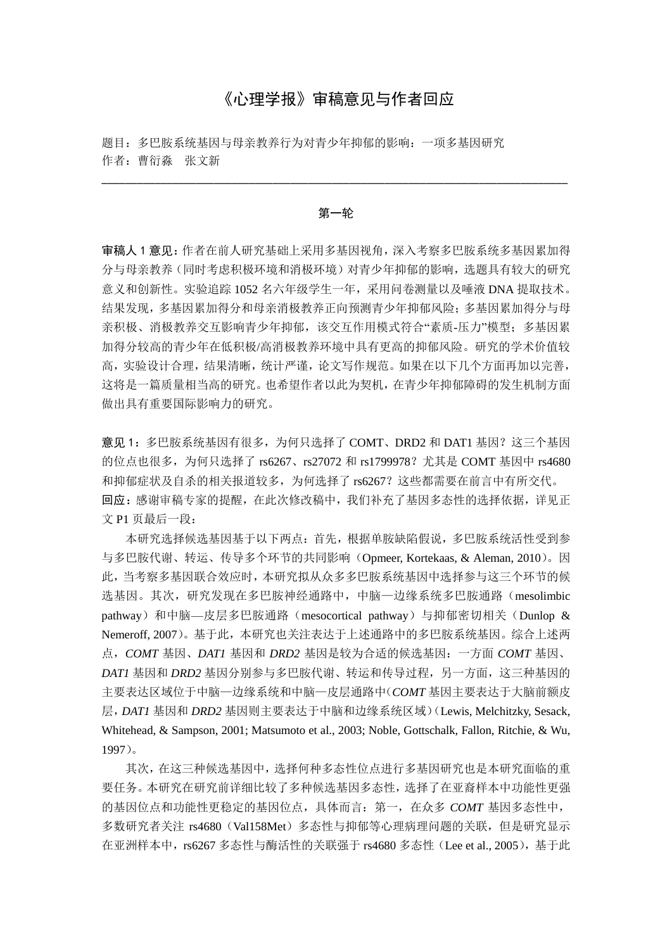# 《心理学报》审稿意见与作者回应

题目:多巴胺系统基因与母亲教养行为对青少年抑郁的影响:一项多基因研究 作者:曹衍淼 张文新

#### 第一轮

\_\_\_\_\_\_\_\_\_\_\_\_\_\_\_\_\_\_\_\_\_\_\_\_\_\_\_\_\_\_\_\_\_\_\_\_\_\_\_\_\_\_\_\_\_\_\_\_\_\_\_\_\_\_\_\_\_\_\_\_\_\_\_\_\_\_\_\_\_\_\_\_\_\_\_\_\_\_\_

审稿人 1 意见:作者在前人研究基础上采用多基因视角,深入考察多巴胺系统多基因累加得 分与母亲教养(同时考虑积极环境和消极环境)对青少年抑郁的影响,选题具有较大的研究 意义和创新性。实验追踪 1052 名六年级学生一年,采用问卷测量以及唾液 DNA 提取技术。 结果发现,多基因累加得分和母亲消极教养正向预测青少年抑郁风险;多基因累加得分与母 亲积极、消极教养交互影响青少年抑郁,该交互作用模式符合"素质-压力"模型;多基因累 加得分较高的青少年在低积极/高消极教养环境中具有更高的抑郁风险。研究的学术价值较 高,实验设计合理,结果清晰,统计严谨,论文写作规范。如果在以下几个方面再加以完善, 这将是一篇质量相当高的研究。也希望作者以此为契机,在青少年抑郁障碍的发生机制方面 做出具有重要国际影响力的研究。

意见 1: 多巴胺系统基因有很多,为何只选择了 COMT、DRD2 和 DAT1 基因?这三个基因 的位点也很多,为何只选择了 rs6267、rs27072 和 rs1799978? 尤其是 COMT 基因中 rs4680 和抑郁症状及自杀的相关报道较多,为何选择了 rs6267? 这些都需要在前言中有所交代。 回应: 感谢审稿专家的提醒, 在此次修改稿中, 我们补充了基因多态性的选择依据, 详见正 文 P1 页最后一段:

本研究选择候选基因基于以下两点:首先,根据单胺缺陷假说,多巴胺系统活性受到参 与多巴胺代谢、转运、传导多个环节的共同影响(Opmeer, Kortekaas, & Aleman, 2010)。因 此,当考察多基因联合效应时,本研究拟从众多多巴胺系统基因中选择参与这三个环节的候 选基因。其次,研究发现在多巴胺神经通路中,中脑—边缘系统多巴胺通路(mesolimbic pathway)和中脑—皮层多巴胺通路(mesocortical pathway)与抑郁密切相关(Dunlop & Nemeroff, 2007)。基于此,本研究也关注表达于上述通路中的多巴胺系统基因。综合上述两 点,*COMT* 基因、*DAT1* 基因和 *DRD2* 基因是较为合适的候选基因:一方面 *COMT* 基因、 *DAT1* 基因和 *DRD2* 基因分别参与多巴胺代谢、转运和传导过程,另一方面,这三种基因的 主要表达区域位于中脑—边缘系统和中脑—皮层通路中(*COMT* 基因主要表达于大脑前额皮 层,*DAT1* 基因和 *DRD2* 基因则主要表达于中脑和边缘系统区域)(Lewis, Melchitzky, Sesack, Whitehead, & Sampson, 2001; Matsumoto et al., 2003; Noble, Gottschalk, Fallon, Ritchie, & Wu, 1997)。

其次,在这三种候选基因中,选择何种多态性位点进行多基因研究也是本研究面临的重 要任务。本研究在研究前详细比较了多种候选基因多态性,选择了在亚裔样本中功能性更强 的基因位点和功能性更稳定的基因位点,具体而言:第一,在众多 *COMT* 基因多态性中, 多数研究者关注 rs4680(Val158Met)多态性与抑郁等心理病理问题的关联,但是研究显示 在亚洲样本中,rs6267 多态性与酶活性的关联强于 rs4680 多态性(Lee et al., 2005),基于此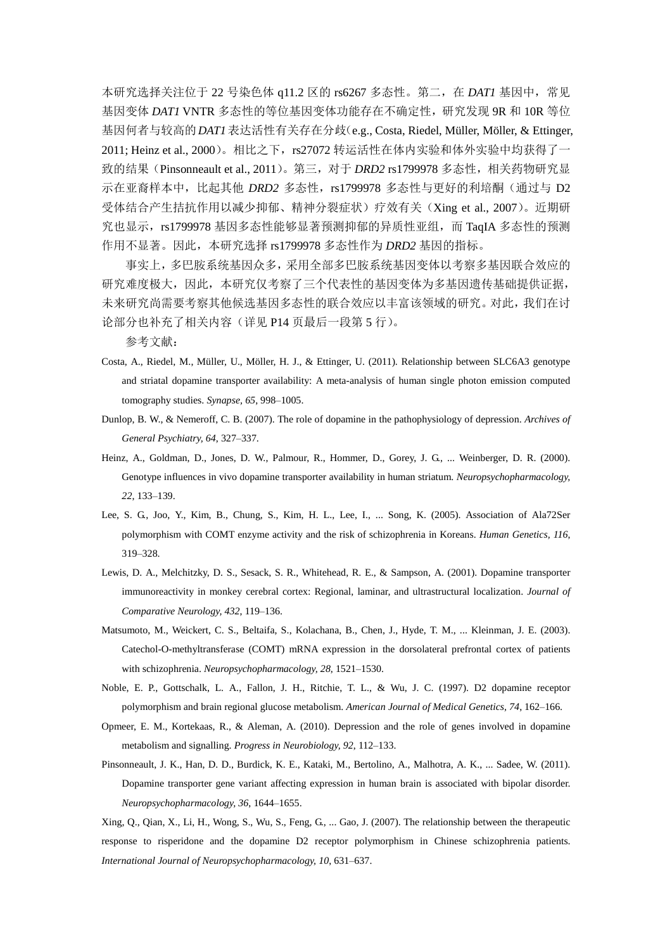本研究选择关注位于 22 号染色体 q11.2 区的 rs6267 多态性。第二, 在 *DAT1* 基因中, 常见 基因变体 *DAT1* VNTR 多态性的等位基因变体功能存在不确定性,研究发现 9R 和 10R 等位 基因何者与较高的*DAT1*表达活性有关存在分歧(e.g., Costa, Riedel, Müller, Möller, & Ettinger, 2011; Heinz et al., 2000)。相比之下,rs27072 转运活性在体内实验和体外实验中均获得了一 致的结果(Pinsonneault et al., 2011)。第三,对于 *DRD2* rs1799978 多态性,相关药物研究显 示在亚裔样本中,比起其他 *DRD2* 多态性, rs1799978 多态性与更好的利培酮(通过与 D2 受体结合产生拮抗作用以减少抑郁、精神分裂症状)疗效有关(Xing et al., 2007)。近期研 究也显示, rs1799978 基因多态性能够显著预测抑郁的异质性亚组, 而 TaqIA 多态性的预测 作用不显著。因此,本研究选择 rs1799978 多态性作为 *DRD2* 基因的指标。

事实上,多巴胺系统基因众多,采用全部多巴胺系统基因变体以考察多基因联合效应的 研究难度极大,因此,本研究仅考察了三个代表性的基因变体为多基因遗传基础提供证据, 未来研究尚需要考察其他候选基因多态性的联合效应以丰富该领域的研究。对此,我们在讨 论部分也补充了相关内容(详见 P14 页最后一段第 5 行)。

参考文献:

- Costa, A., Riedel, M., Müller, U., Möller, H. J., & Ettinger, U. (2011). Relationship between SLC6A3 genotype and striatal dopamine transporter availability: A meta-analysis of human single photon emission computed tomography studies. *Synapse, 65*, 998–1005.
- Dunlop, B. W., & Nemeroff, C. B. (2007). The role of dopamine in the pathophysiology of depression. *Archives of General Psychiatry, 64*, 327–337.
- Heinz, A., Goldman, D., Jones, D. W., Palmour, R., Hommer, D., Gorey, J. G., ... Weinberger, D. R. (2000). Genotype influences in vivo dopamine transporter availability in human striatum. *Neuropsychopharmacology, 22*, 133–139.
- Lee, S. G., Joo, Y., Kim, B., Chung, S., Kim, H. L., Lee, I., ... Song, K. (2005). Association of Ala72Ser polymorphism with COMT enzyme activity and the risk of schizophrenia in Koreans. *Human Genetics, 116*, 319–328.
- Lewis, D. A., Melchitzky, D. S., Sesack, S. R., Whitehead, R. E., & Sampson, A. (2001). Dopamine transporter immunoreactivity in monkey cerebral cortex: Regional, laminar, and ultrastructural localization. *Journal of Comparative Neurology, 432*, 119–136.
- Matsumoto, M., Weickert, C. S., Beltaifa, S., Kolachana, B., Chen, J., Hyde, T. M., ... Kleinman, J. E. (2003). Catechol-O-methyltransferase (COMT) mRNA expression in the dorsolateral prefrontal cortex of patients with schizophrenia. *Neuropsychopharmacology, 28*, 1521–1530.
- Noble, E. P., Gottschalk, L. A., Fallon, J. H., Ritchie, T. L., & Wu, J. C. (1997). D2 dopamine receptor polymorphism and brain regional glucose metabolism. *American Journal of Medical Genetics, 74*, 162–166.
- Opmeer, E. M., Kortekaas, R., & Aleman, A. (2010). Depression and the role of genes involved in dopamine metabolism and signalling. *Progress in Neurobiology, 92*, 112–133.
- Pinsonneault, J. K., Han, D. D., Burdick, K. E., Kataki, M., Bertolino, A., Malhotra, A. K., ... Sadee, W. (2011). Dopamine transporter gene variant affecting expression in human brain is associated with bipolar disorder. *Neuropsychopharmacology, 36*, 1644–1655.

Xing, Q., Qian, X., Li, H., Wong, S., Wu, S., Feng, G., ... Gao, J. (2007). The relationship between the therapeutic response to risperidone and the dopamine D2 receptor polymorphism in Chinese schizophrenia patients. *International Journal of Neuropsychopharmacology, 10*, 631–637.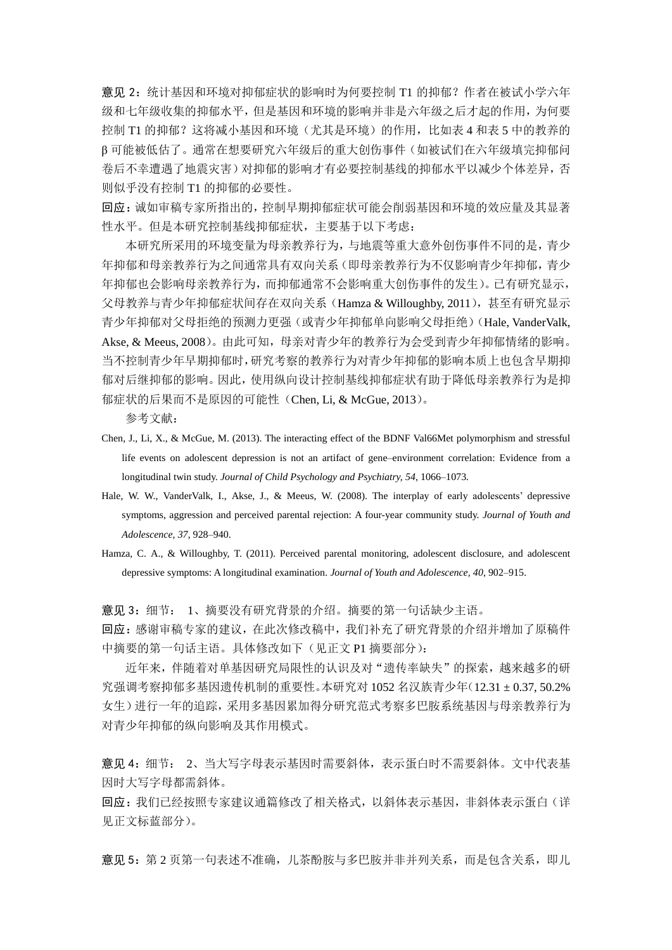意见 2: 统计基因和环境对抑郁症状的影响时为何要控制 T1 的抑郁?作者在被试小学六年 级和七年级收集的抑郁水平,但是基因和环境的影响并非是六年级之后才起的作用,为何要 控制 T1 的抑郁?这将减小基因和环境(尤其是环境)的作用,比如表 4 和表 5 中的教养的 β 可能被低估了。通常在想要研究六年级后的重大创伤事件(如被试们在六年级填完抑郁问 卷后不幸遭遇了地震灾害)对抑郁的影响才有必要控制基线的抑郁水平以减少个体差异,否 则似乎没有控制 T1 的抑郁的必要性。

回应:诚如审稿专家所指出的,控制早期抑郁症状可能会削弱基因和环境的效应量及其显著 性水平。但是本研究控制基线抑郁症状,主要基于以下考虑:

本研究所采用的环境变量为母亲教养行为,与地震等重大意外创伤事件不同的是,青少 年抑郁和母亲教养行为之间通常具有双向关系(即母亲教养行为不仅影响青少年抑郁,青少 年抑郁也会影响母亲教养行为,而抑郁通常不会影响重大创伤事件的发生)。已有研究显示, 父母教养与青少年抑郁症状间存在双向关系(Hamza & Willoughby, 2011), 甚至有研究显示 青少年抑郁对父母拒绝的预测力更强(或青少年抑郁单向影响父母拒绝)(Hale, VanderValk, Akse, & Meeus, 2008)。由此可知,母亲对青少年的教养行为会受到青少年抑郁情绪的影响。 当不控制青少年早期抑郁时,研究考察的教养行为对青少年抑郁的影响本质上也包含早期抑 郁对后继抑郁的影响。因此,使用纵向设计控制基线抑郁症状有助于降低母亲教养行为是抑 郁症状的后果而不是原因的可能性(Chen, Li, & McGue, 2013)。

参考文献:

- Chen, J., Li, X., & McGue, M. (2013). The interacting effect of the BDNF Val66Met polymorphism and stressful life events on adolescent depression is not an artifact of gene–environment correlation: Evidence from a longitudinal twin study. *Journal of Child Psychology and Psychiatry, 54*, 1066–1073.
- Hale, W. W., VanderValk, I., Akse, J., & Meeus, W. (2008). The interplay of early adolescents' depressive symptoms, aggression and perceived parental rejection: A four-year community study. *Journal of Youth and Adolescence, 37*, 928–940.

Hamza, C. A., & Willoughby, T. (2011). Perceived parental monitoring, adolescent disclosure, and adolescent depressive symptoms: A longitudinal examination. *Journal of Youth and Adolescence, 40*, 902–915.

意见 3:细节: 1、摘要没有研究背景的介绍。摘要的第一句话缺少主语。

回应:感谢审稿专家的建议,在此次修改稿中,我们补充了研究背景的介绍并增加了原稿件 中摘要的第一句话主语。具体修改如下(见正文 P1 摘要部分):

近年来,伴随着对单基因研究局限性的认识及对"遗传率缺失"的探索,越来越多的研 究强调考察抑郁多基因遗传机制的重要性。本研究对 1052 名汉族青少年(12.31 ±0.37, 50.2% 女生)进行一年的追踪,采用多基因累加得分研究范式考察多巴胺系统基因与母亲教养行为 对青少年抑郁的纵向影响及其作用模式。

意见 4:细节: 2、当大写字母表示基因时需要斜体,表示蛋白时不需要斜体。文中代表基 因时大写字母都需斜体。

回应:我们已经按照专家建议通篇修改了相关格式,以斜体表示基因,非斜体表示蛋白(详 见正文标蓝部分)。

意见 5: 第 2 页第一句表述不准确, 儿茶酚胺与多巴胺并非并列关系, 而是包含关系, 即儿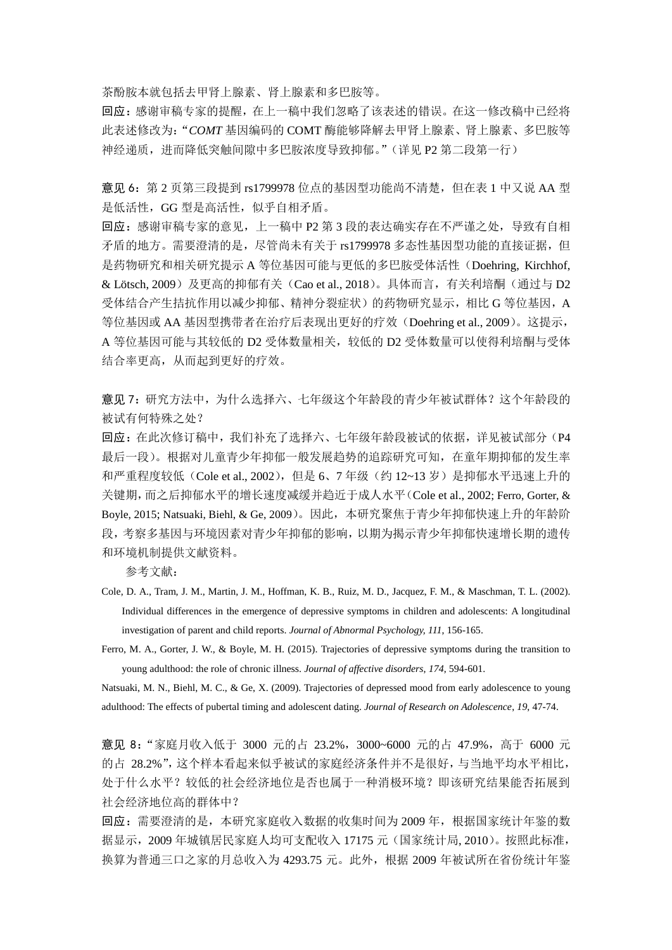茶酚胺本就包括去甲肾上腺素、肾上腺素和多巴胺等。

回应:感谢审稿专家的提醒,在上一稿中我们忽略了该表述的错误。在这一修改稿中已经将 此表述修改为:"*COMT* 基因编码的 COMT 酶能够降解去甲肾上腺素、肾上腺素、多巴胺等 神经递质,进而降低突触间隙中多巴胺浓度导致抑郁。"(详见 P2 第二段第一行)

意见 6: 第 2 页第三段提到 rs1799978 位点的基因型功能尚不清楚,但在表 1 中又说 AA 型 是低活性,GG 型是高活性,似乎自相矛盾。

回应:感谢审稿专家的意见,上一稿中 P2 第 3 段的表达确实存在不严谨之处,导致有自相 矛盾的地方。需要澄清的是,尽管尚未有关于 rs1799978 多态性基因型功能的直接证据,但 是药物研究和相关研究提示 A 等位基因可能与更低的多巴胺受体活性(Doehring, Kirchhof, & Läsch, 2009)及更高的抑郁有关(Cao et al., 2018)。具体而言, 有关利培酮(通过与 D2 受体结合产生拮抗作用以减少抑郁、精神分裂症状)的药物研究显示,相比 G 等位基因,A 等位基因或 AA 基因型携带者在治疗后表现出更好的疗效(Doehring et al., 2009)。这提示, A 等位基因可能与其较低的 D2 受体数量相关,较低的 D2 受体数量可以使得利培酮与受体 结合率更高,从而起到更好的疗效。

意见 7:研究方法中,为什么选择六、七年级这个年龄段的青少年被试群体?这个年龄段的 被试有何特殊之处?

回应: 在此次修订稿中, 我们补充了选择六、七年级年龄段被试的依据, 详见被试部分(P4 最后一段)。根据对儿童青少年抑郁一般发展趋势的追踪研究可知,在童年期抑郁的发生率 和严重程度较低(Cole et al., 2002), 但是 6、7 年级(约 12~13 岁)是抑郁水平迅速上升的 关键期,而之后抑郁水平的增长速度减缓并趋近于成人水平(Cole et al., 2002; Ferro, Gorter, & Boyle, 2015; Natsuaki, Biehl, & Ge, 2009)。因此,本研究聚焦于青少年抑郁快速上升的年龄阶 段,考察多基因与环境因素对青少年抑郁的影响,以期为揭示青少年抑郁快速增长期的遗传 和环境机制提供文献资料。

参考文献:

- Cole, D. A., Tram, J. M., Martin, J. M., Hoffman, K. B., Ruiz, M. D., Jacquez, F. M., & Maschman, T. L. (2002). Individual differences in the emergence of depressive symptoms in children and adolescents: A longitudinal investigation of parent and child reports. *Journal of Abnormal Psychology, 111*, 156-165.
- Ferro, M. A., Gorter, J. W., & Boyle, M. H. (2015). Trajectories of depressive symptoms during the transition to young adulthood: the role of chronic illness. *Journal of affective disorders*, *174*, 594-601.

Natsuaki, M. N., Biehl, M. C., & Ge, X. (2009). Trajectories of depressed mood from early adolescence to young adulthood: The effects of pubertal timing and adolescent dating. *Journal of Research on Adolescence*, *19*, 47-74.

意见 8: "家庭月收入低于 3000 元的占 23.2%, 3000~6000 元的占 47.9%, 高于 6000 元 的占 28.2%",这个样本看起来似乎被试的家庭经济条件并不是很好,与当地平均水平相比, 处于什么水平?较低的社会经济地位是否也属于一种消极环境?即该研究结果能否拓展到 社会经济地位高的群体中?

回应:需要澄清的是,本研究家庭收入数据的收集时间为 2009 年,根据国家统计年鉴的数 据显示,2009 年城镇居民家庭人均可支配收入 17175 元(国家统计局, 2010)。按照此标准, 换算为普通三口之家的月总收入为 4293.75 元。此外,根据 2009 年被试所在省份统计年鉴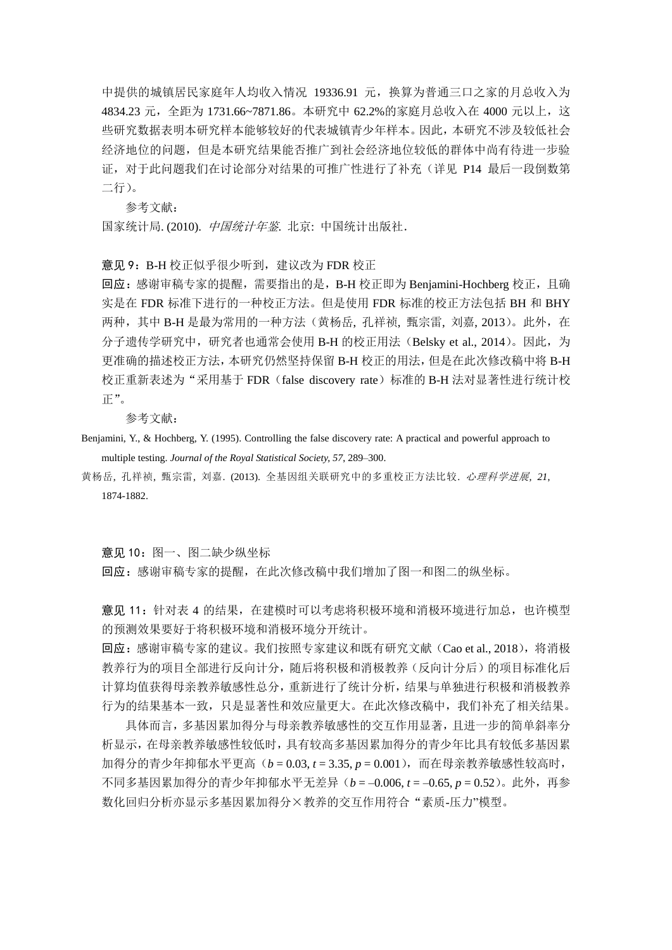中提供的城镇居民家庭年人均收入情况 19336.91 元,换算为普通三口之家的月总收入为 4834.23 元,全距为 1731.66~7871.86。本研究中 62.2%的家庭月总收入在 4000 元以上,这 些研究数据表明本研究样本能够较好的代表城镇青少年样本。因此,本研究不涉及较低社会 经济地位的问题,但是本研究结果能否推广到社会经济地位较低的群体中尚有待进一步验 证,对于此问题我们在讨论部分对结果的可推广性进行了补充(详见 P14 最后一段倒数第 二行)。

参考文献:

国家统计局. (2010). 中国统计年鉴. 北京: 中国统计出版社.

意见 9: B-H 校正似乎很少听到, 建议改为 FDR 校正

回应:感谢审稿专家的提醒,需要指出的是,B-H 校正即为 Benjamini-Hochberg 校正,且确 实是在 FDR 标准下进行的一种校正方法。但是使用 FDR 标准的校正方法包括 BH 和 BHY 两种,其中 B-H 是最为常用的一种方法(黄杨岳, 孔祥祯, 甄宗雷, 刘嘉, 2013)。此外, 在 分子遗传学研究中,研究者也通常会使用 B-H 的校正用法(Belsky et al., 2014)。因此,为 更准确的描述校正方法,本研究仍然坚持保留 B-H 校正的用法,但是在此次修改稿中将 B-H 校正重新表述为"采用基于 FDR (false discovery rate)标准的 B-H 法对显著性进行统计校 正"。

参考文献:

- Benjamini, Y., & Hochberg, Y. (1995). Controlling the false discovery rate: A practical and powerful approach to multiple testing. *Journal of the Royal Statistical Society, 57*, 289–300.
- 黄杨岳, 孔祥祯, 甄宗雷, 刘嘉. (2013). 全基因组关联研究中的多重校正方法比较. 心理科学进展*, 21*, 1874-1882.

意见 10:图一、图二缺少纵坐标

回应:感谢审稿专家的提醒,在此次修改稿中我们增加了图一和图二的纵坐标。

意见 11:针对表 4 的结果,在建模时可以考虑将积极环境和消极环境进行加总,也许模型 的预测效果要好于将积极环境和消极环境分开统计。

回应: 感谢审稿专家的建议。我们按照专家建议和既有研究文献(Cao et al., 2018), 将消极 教养行为的项目全部进行反向计分,随后将积极和消极教养(反向计分后)的项目标准化后 计算均值获得母亲教养敏感性总分,重新进行了统计分析,结果与单独进行积极和消极教养 行为的结果基本一致,只是显著性和效应量更大。在此次修改稿中,我们补充了相关结果。

具体而言,多基因累加得分与母亲教养敏感性的交互作用显著,且进一步的简单斜率分 析显示,在母亲教养敏感性较低时,具有较高多基因累加得分的青少年比具有较低多基因累 加得分的青少年抑郁水平更高(*b* = 0.03, t = 3.35, p = 0.001), 而在母亲教养敏感性较高时, 不同多基因累加得分的青少年抑郁水平无差异(*b* = –0.006, *t* = –0.65, *p* = 0.52)。此外,再参 数化回归分析亦显示多基因累加得分×教养的交互作用符合"素质-压力"模型。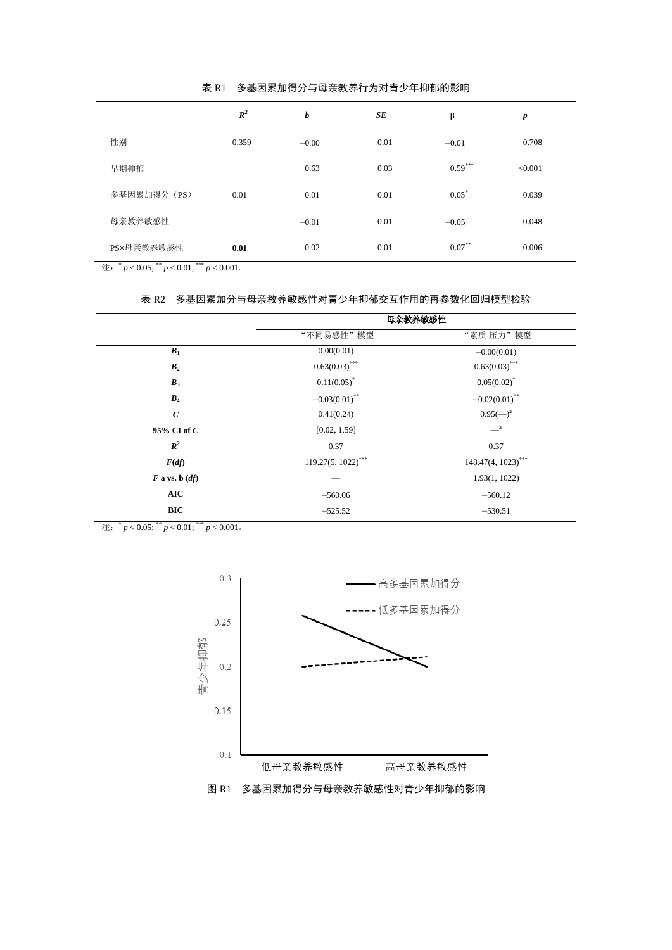|             | $R^2$ | b       | SE   | β         | $\boldsymbol{p}$ |
|-------------|-------|---------|------|-----------|------------------|
| 性别          | 0.359 | $-0.00$ | 0.01 | $-0.01$   | 0.708            |
| 早期抑郁        |       | 0.63    | 0.03 | $0.59***$ | < 0.001          |
| 多基因累加得分(PS) | 0.01  | 0.01    | 0.01 | $0.05^*$  | 0.039            |
| 母亲教养敏感性     |       | $-0.01$ | 0.01 | $-0.05$   | 0.048            |
| PS×母亲教养敏感性  | 0.01  | 0.02    | 0.01 | $0.07***$ | 0.006            |

表 R1 多基因累加得分与母亲教养行为对青少年抑郁的影响

注:  $^*p < 0.05$ ;  $^*p < 0.01$ ;  $^{***}p < 0.001$  。

#### 表 R2 多基因累加分与母亲教养敏感性对青少年抑郁交互作用的再参数化回归模型检验

|                    | 母亲教养敏感性                     |                             |  |  |
|--------------------|-----------------------------|-----------------------------|--|--|
|                    | "不同易感性"模型                   | "素质-压力"模型                   |  |  |
| $B_1$              | 0.00(0.01)                  | $-0.00(0.01)$               |  |  |
| B <sub>2</sub>     | $0.63(0.03)$ ***            | $0.63(0.03)$ ***            |  |  |
| $B_3$              | $0.11(0.05)^*$              | $0.05(0.02)^{*}$            |  |  |
| $B_4$              | $-0.03(0.01)$ <sup>**</sup> | $-0.02(0.01)$ <sup>**</sup> |  |  |
| $\boldsymbol{c}$   | 0.41(0.24)                  | $0.95(-)^{a}$               |  |  |
| 95% CI of C        | [0.02, 1.59]                | $\equiv$ <sup>a</sup>       |  |  |
| $R^2$              | 0.37                        | 0.37                        |  |  |
| F(df)              | $119.27(5, 1022)$ ***       | 148.47(4, 1023)***          |  |  |
| $F$ a vs. b $(df)$ |                             | 1.93(1, 1022)               |  |  |
| <b>AIC</b>         | $-560.06$                   | $-560.12$                   |  |  |
| <b>BIC</b>         | $-525.52$                   | $-530.51$                   |  |  |

注:  $^*p < 0.05$ ;  $^*p < 0.01$ ;  $^{***}p < 0.001$  。



图 R1 多基因累加得分与母亲教养敏感性对青少年抑郁的影响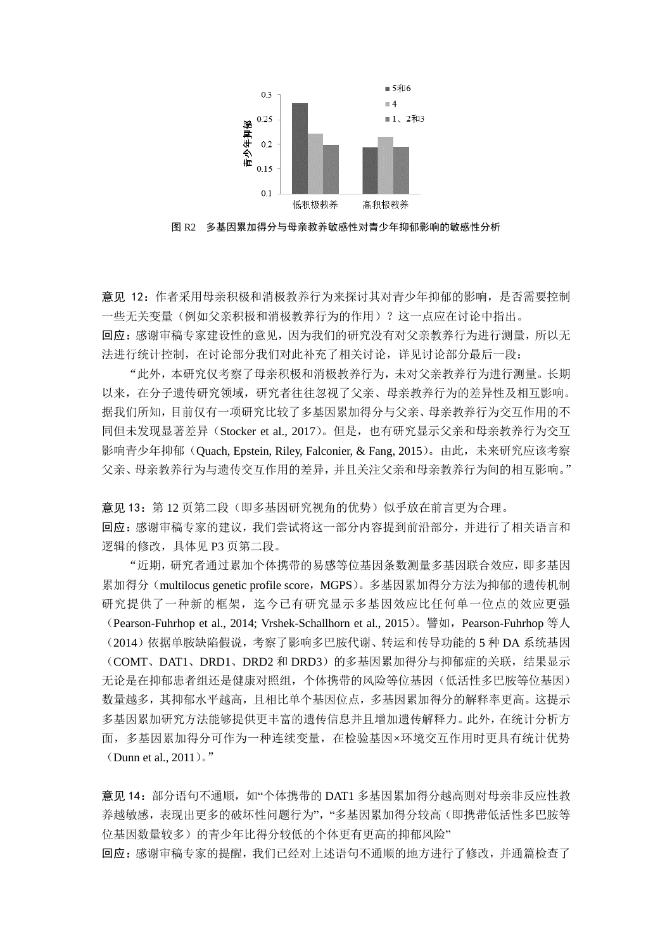

图 R2 多基因累加得分与母亲教养敏感性对青少年抑郁影响的敏感性分析

意见 12:作者采用母亲积极和消极教养行为来探讨其对青少年抑郁的影响,是否需要控制 一些无关变量(例如父亲积极和消极教养行为的作用)?这一点应在讨论中指出。 回应:感谢审稿专家建设性的意见,因为我们的研究没有对父亲教养行为进行测量,所以无 法进行统计控制, 在讨论部分我们对此补充了相关讨论, 详见讨论部分最后一段:

"此外,本研究仅考察了母亲积极和消极教养行为,未对父亲教养行为进行测量。长期 以来,在分子遗传研究领域,研究者往往忽视了父亲、母亲教养行为的差异性及相互影响。 据我们所知,目前仅有一项研究比较了多基因累加得分与父亲、母亲教养行为交互作用的不 同但未发现显著差异(Stocker et al., 2017)。但是,也有研究显示父亲和母亲教养行为交互 影响青少年抑郁(Quach, Epstein, Riley, Falconier, & Fang, 2015)。由此,未来研究应该考察 父亲、母亲教养行为与遗传交互作用的差异,并且关注父亲和母亲教养行为间的相互影响。"

意见 13: 第 12 页第二段(即多基因研究视角的优势)似乎放在前言更为合理。 回应:感谢审稿专家的建议,我们尝试将这一部分内容提到前沿部分,并进行了相关语言和 逻辑的修改,具体见 P3 页第二段。

"近期,研究者通过累加个体携带的易感等位基因条数测量多基因联合效应,即多基因 累加得分(multilocus genetic profile score, MGPS)。多基因累加得分方法为抑郁的遗传机制 研究提供了一种新的框架,迄今已有研究显示多基因效应比任何单一位点的效应更强 (Pearson-Fuhrhop et al., 2014; Vrshek-Schallhorn et al., 2015)。譬如,Pearson-Fuhrhop 等人 (2014)依据单胺缺陷假说,考察了影响多巴胺代谢、转运和传导功能的 5 种 DA 系统基因 (COMT、DAT1、DRD1、DRD2 和 DRD3)的多基因累加得分与抑郁症的关联,结果显示 无论是在抑郁患者组还是健康对照组,个体携带的风险等位基因(低活性多巴胺等位基因) 数量越多,其抑郁水平越高,且相比单个基因位点,多基因累加得分的解释率更高。这提示 多基因累加研究方法能够提供更丰富的遗传信息并且增加遗传解释力。此外,在统计分析方 面,多基因累加得分可作为一种连续变量,在检验基因×环境交互作用时更具有统计优势 (Dunn et al., 2011)。"

意见 14: 部分语句不通顺, 如"个体携带的 DAT1 多基因累加得分越高则对母亲非反应性教 养越敏感,表现出更多的破坏性问题行为","多基因累加得分较高(即携带低活性多巴胺等 位基因数量较多)的青少年比得分较低的个体更有更高的抑郁风险"

回应: 感谢审稿专家的提醒,我们已经对上述语句不通顺的地方进行了修改,并通篇检查了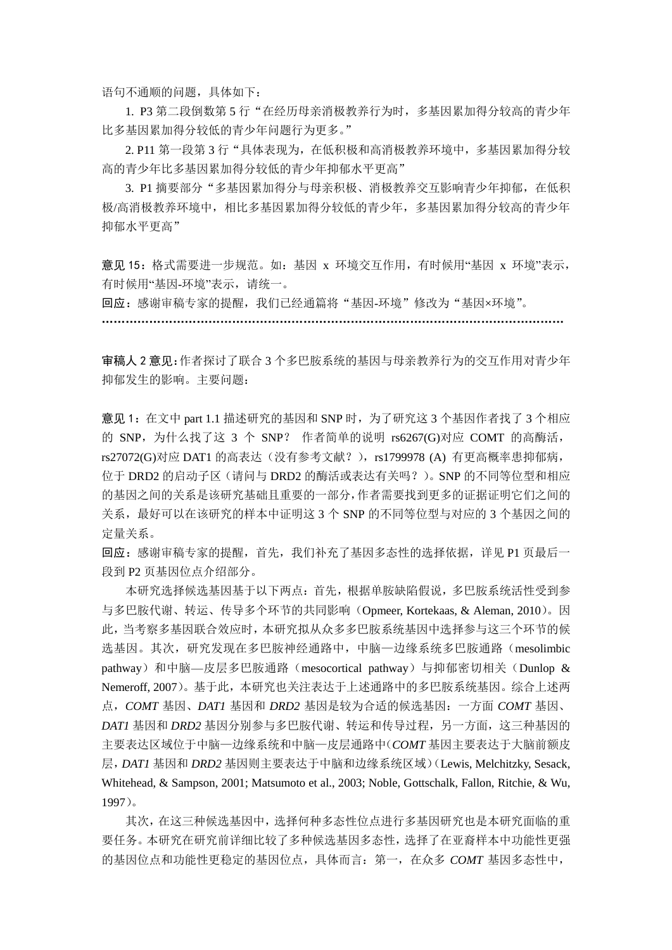语句不通顺的问题,具体如下:

1. P3 第二段倒数第 5 行"在经历母亲消极教养行为时,多基因累加得分较高的青少年 比多基因累加得分较低的青少年问题行为更多。"

2. P11 第一段第 3 行"具体表现为,在低积极和高消极教养环境中,多基因累加得分较 高的青少年比多基因累加得分较低的青少年抑郁水平更高"

3. P1 摘要部分"多基因累加得分与母亲积极、消极教养交互影响青少年抑郁, 在低积 极/高消极教养环境中,相比多基因累加得分较低的青少年,多基因累加得分较高的青少年 抑郁水平更高"

意见 15:格式需要进一步规范。如:基因 x 环境交互作用,有时候用"基因 x 环境"表示, 有时候用"基因-环境"表示,请统一。

回应: 感谢审稿专家的提醒, 我们已经通篇将"基因-环境"修改为"基因×环境"。

………………………………………………………………………………………………………

审稿人 2 意见:作者探讨了联合 3 个多巴胺系统的基因与母亲教养行为的交互作用对青少年 抑郁发生的影响。主要问题:

意见 1: 在文中 part 1.1 描述研究的基因和 SNP 时, 为了研究这 3 个基因作者找了 3 个相应 的 SNP, 为什么找了这 3 个 SNP? 作者简单的说明 rs6267(G)对应 COMT 的高酶活, rs27072(G)对应 DAT1 的高表达(没有参考文献?), rs1799978 (A) 有更高概率患抑郁病, 位于 DRD2 的启动子区(请问与 DRD2 的酶活或表达有关吗?)。SNP 的不同等位型和相应 的基因之间的关系是该研究基础且重要的一部分,作者需要找到更多的证据证明它们之间的 关系,最好可以在该研究的样本中证明这 3 个 SNP 的不同等位型与对应的 3 个基因之间的 定量关系。

回应:感谢审稿专家的提醒,首先,我们补充了基因多态性的选择依据,详见 P1 页最后一 段到 P2 页基因位点介绍部分。

本研究选择候选基因基于以下两点:首先,根据单胺缺陷假说,多巴胺系统活性受到参 与多巴胺代谢、转运、传导多个环节的共同影响(Opmeer, Kortekaas, & Aleman, 2010)。因 此,当考察多基因联合效应时,本研究拟从众多多巴胺系统基因中选择参与这三个环节的候 选基因。其次,研究发现在多巴胺神经通路中,中脑—边缘系统多巴胺通路(mesolimbic pathway)和中脑—皮层多巴胺通路(mesocortical pathway)与抑郁密切相关(Dunlop & Nemeroff, 2007)。基于此,本研究也关注表达于上述通路中的多巴胺系统基因。综合上述两 点,*COMT* 基因、*DAT1* 基因和 *DRD2* 基因是较为合适的候选基因:一方面 *COMT* 基因、 *DAT1* 基因和 *DRD2* 基因分别参与多巴胺代谢、转运和传导过程,另一方面,这三种基因的 主要表达区域位于中脑—边缘系统和中脑—皮层通路中(*COMT* 基因主要表达于大脑前额皮 层,*DAT1* 基因和 *DRD2* 基因则主要表达于中脑和边缘系统区域)(Lewis, Melchitzky, Sesack, Whitehead, & Sampson, 2001; Matsumoto et al., 2003; Noble, Gottschalk, Fallon, Ritchie, & Wu, 1997)。

其次,在这三种候选基因中,选择何种多态性位点进行多基因研究也是本研究面临的重 要任务。本研究在研究前详细比较了多种候选基因多态性,选择了在亚裔样本中功能性更强 的基因位点和功能性更稳定的基因位点,具体而言:第一,在众多 *COMT* 基因多态性中,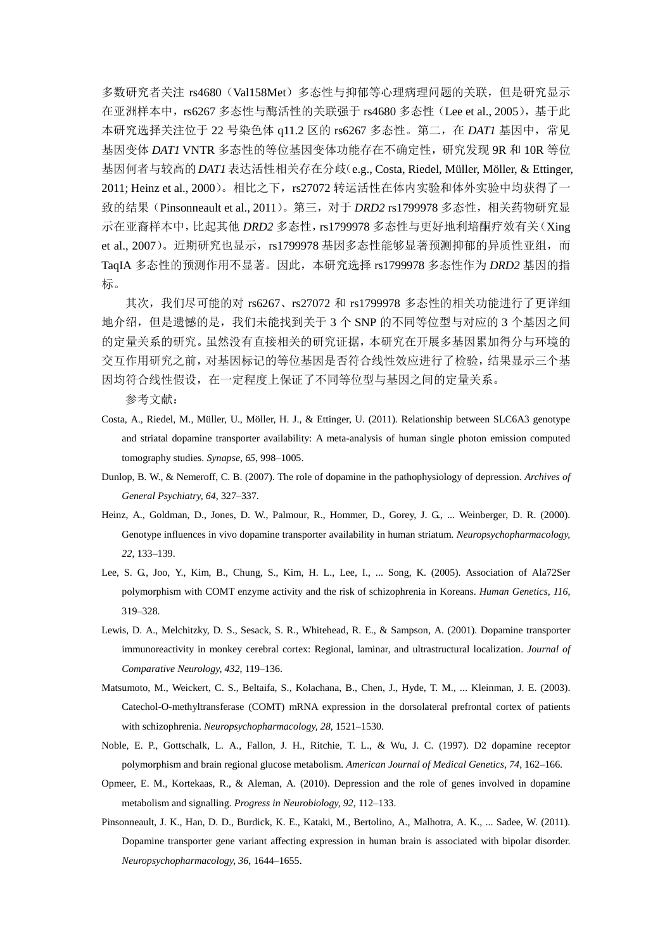多数研究者关注 rs4680(Val158Met)多态性与抑郁等心理病理问题的关联,但是研究显示 在亚洲样本中,rs6267 多态性与酶活性的关联强于 rs4680 多态性(Lee et al., 2005),基于此 本研究选择关注位于 22 号染色体 q11.2 区的 rs6267 多态性。第二,在 *DAT1* 基因中,常见 基因变体 *DAT1* VNTR 多态性的等位基因变体功能存在不确定性,研究发现 9R 和 10R 等位 基因何者与较高的*DAT1*表达活性相关存在分歧(e.g., Costa, Riedel, Müller, Möller, & Ettinger, 2011; Heinz et al., 2000)。相比之下,rs27072 转运活性在体内实验和体外实验中均获得了一 致的结果(Pinsonneault et al., 2011)。第三, 对于 *DRD2* rs1799978 多态性, 相关药物研究显 示在亚裔样本中,比起其他 *DRD2* 多态性,rs1799978 多态性与更好地利培酮疗效有关(Xing et al., 2007)。近期研究也显示, rs1799978 基因多态性能够显著预测抑郁的异质性亚组, 而 TaqIA 多态性的预测作用不显著。因此,本研究选择 rs1799978 多态性作为 *DRD2* 基因的指 标。

其次,我们尽可能的对 rs6267、rs27072 和 rs1799978 多态性的相关功能进行了更详细 地介绍,但是遗憾的是,我们未能找到关于 3 个 SNP 的不同等位型与对应的 3 个基因之间 的定量关系的研究。虽然没有直接相关的研究证据,本研究在开展多基因累加得分与环境的 交互作用研究之前,对基因标记的等位基因是否符合线性效应进行了检验,结果显示三个基 因均符合线性假设,在一定程度上保证了不同等位型与基因之间的定量关系。

参考文献:

- Costa, A., Riedel, M., Müller, U., Möller, H. J., & Ettinger, U. (2011). Relationship between SLC6A3 genotype and striatal dopamine transporter availability: A meta-analysis of human single photon emission computed tomography studies. *Synapse, 65*, 998–1005.
- Dunlop, B. W., & Nemeroff, C. B. (2007). The role of dopamine in the pathophysiology of depression. *Archives of General Psychiatry, 64*, 327–337.
- Heinz, A., Goldman, D., Jones, D. W., Palmour, R., Hommer, D., Gorey, J. G., ... Weinberger, D. R. (2000). Genotype influences in vivo dopamine transporter availability in human striatum. *Neuropsychopharmacology, 22*, 133–139.
- Lee, S. G., Joo, Y., Kim, B., Chung, S., Kim, H. L., Lee, I., ... Song, K. (2005). Association of Ala72Ser polymorphism with COMT enzyme activity and the risk of schizophrenia in Koreans. *Human Genetics, 116*, 319–328.
- Lewis, D. A., Melchitzky, D. S., Sesack, S. R., Whitehead, R. E., & Sampson, A. (2001). Dopamine transporter immunoreactivity in monkey cerebral cortex: Regional, laminar, and ultrastructural localization. *Journal of Comparative Neurology, 432*, 119–136.
- Matsumoto, M., Weickert, C. S., Beltaifa, S., Kolachana, B., Chen, J., Hyde, T. M., ... Kleinman, J. E. (2003). Catechol-O-methyltransferase (COMT) mRNA expression in the dorsolateral prefrontal cortex of patients with schizophrenia. *Neuropsychopharmacology, 28*, 1521–1530.
- Noble, E. P., Gottschalk, L. A., Fallon, J. H., Ritchie, T. L., & Wu, J. C. (1997). D2 dopamine receptor polymorphism and brain regional glucose metabolism. *American Journal of Medical Genetics, 74*, 162–166.
- Opmeer, E. M., Kortekaas, R., & Aleman, A. (2010). Depression and the role of genes involved in dopamine metabolism and signalling. *Progress in Neurobiology, 92*, 112–133.
- Pinsonneault, J. K., Han, D. D., Burdick, K. E., Kataki, M., Bertolino, A., Malhotra, A. K., ... Sadee, W. (2011). Dopamine transporter gene variant affecting expression in human brain is associated with bipolar disorder. *Neuropsychopharmacology, 36*, 1644–1655.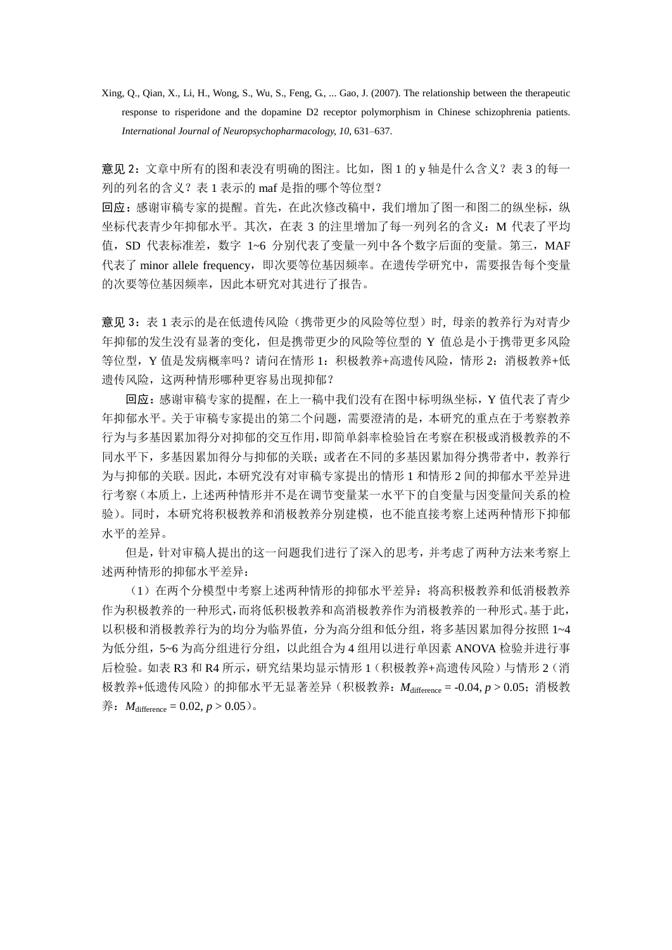Xing, Q., Qian, X., Li, H., Wong, S., Wu, S., Feng, G., ... Gao, J. (2007). The relationship between the therapeutic response to risperidone and the dopamine D2 receptor polymorphism in Chinese schizophrenia patients. *International Journal of Neuropsychopharmacology, 10*, 631–637.

意见 2: 文章中所有的图和表没有明确的图注。比如,图 1 的 y 轴是什么含义?表 3 的每一 列的列名的含义?表 1 表示的 maf 是指的哪个等位型?

回应:感谢审稿专家的提醒。首先,在此次修改稿中,我们增加了图一和图二的纵坐标,纵 坐标代表青少年抑郁水平。其次, 在表 3 的注里增加了每一列列名的含义: M 代表了平均 值, SD 代表标准差, 数字 1~6 分别代表了变量一列中各个数字后面的变量。第三, MAF 代表了 minor allele frequency, 即次要等位基因频率。在遗传学研究中, 需要报告每个变量 的次要等位基因频率,因此本研究对其进行了报告。

意见 3: 表 1 表示的是在低遗传风险(携带更少的风险等位型)时, 母亲的教养行为对青少 年抑郁的发生没有显著的变化,但是携带更少的风险等位型的 Y 值总是小于携带更多风险 等位型, Y 值是发病概率吗? 请问在情形 1: 积极教养+高遗传风险, 情形 2: 消极教养+低 遗传风险,这两种情形哪种更容易出现抑郁?

回应:感谢审稿专家的提醒,在上一稿中我们没有在图中标明纵坐标,Y 值代表了青少 年抑郁水平。关于审稿专家提出的第二个问题,需要澄清的是,本研究的重点在于考察教养 行为与多基因累加得分对抑郁的交互作用,即简单斜率检验旨在考察在积极或消极教养的不 同水平下,多基因累加得分与抑郁的关联;或者在不同的多基因累加得分携带者中,教养行 为与抑郁的关联。因此,本研究没有对审稿专家提出的情形 1 和情形 2 间的抑郁水平差异进 行考察(本质上,上述两种情形并不是在调节变量某一水平下的自变量与因变量间关系的检 验)。同时,本研究将积极教养和消极教养分别建模,也不能直接考察上述两种情形下抑郁 水平的差异。

但是,针对审稿人提出的这一问题我们进行了深入的思考,并考虑了两种方法来考察上 述两种情形的抑郁水平差异:

(1)在两个分模型中考察上述两种情形的抑郁水平差异:将高积极教养和低消极教养 作为积极教养的一种形式,而将低积极教养和高消极教养作为消极教养的一种形式。基于此, 以积极和消极教养行为的均分为临界值,分为高分组和低分组,将多基因累加得分按照 1~4 为低分组,5~6 为高分组进行分组,以此组合为 4 组用以进行单因素 ANOVA 检验并进行事 后检验。如表 R3 和 R4 所示,研究结果均显示情形 1(积极教养+高遗传风险)与情形 2(消 极教养+低遗传风险)的抑郁水平无显著差异(积极教养:*M*difference = -0.04, *p* > 0.05;消极教  $\text{#}:$  *M*<sub>difference</sub> = 0.02, *p* > 0.05).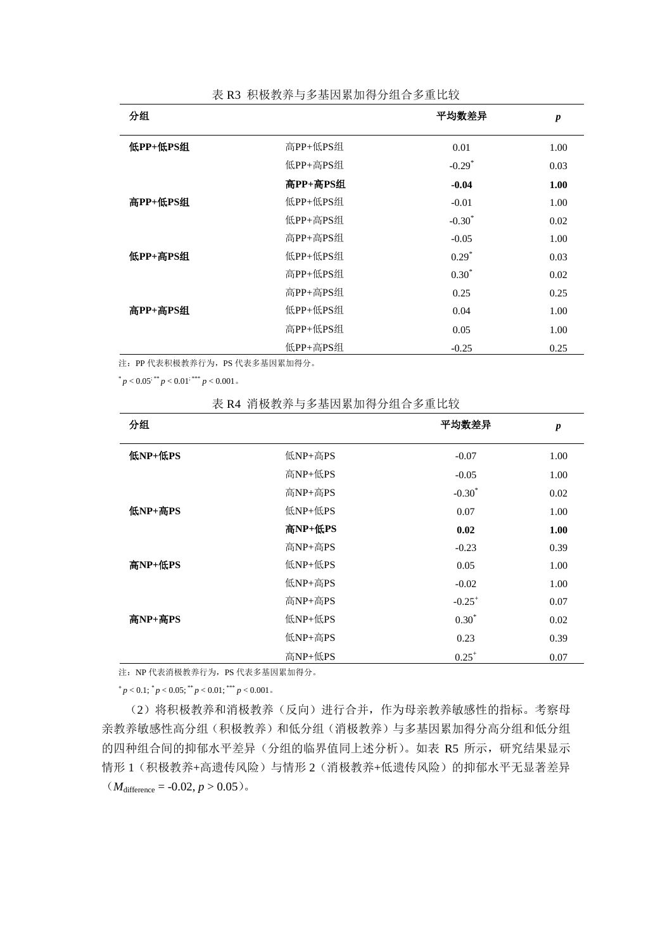| 分组       |          | 平均数差异                | $\boldsymbol{p}$ |
|----------|----------|----------------------|------------------|
| 低PP+低PS组 | 高PP+低PS组 | 0.01                 | 1.00             |
|          | 低PP+高PS组 | $-0.29$ <sup>*</sup> | 0.03             |
|          | 高PP+高PS组 | $-0.04$              | 1.00             |
| 高PP+低PS组 | 低PP+低PS组 | $-0.01$              | 1.00             |
|          | 低PP+高PS组 | $-0.30^*$            | 0.02             |
|          | 高PP+高PS组 | $-0.05$              | 1.00             |
| 低PP+高PS组 | 低PP+低PS组 | $0.29*$              | 0.03             |
|          | 高PP+低PS组 | $0.30*$              | 0.02             |
|          | 高PP+高PS组 | 0.25                 | 0.25             |
| 高PP+高PS组 | 低PP+低PS组 | 0.04                 | 1.00             |
|          | 高PP+低PS组 | 0.05                 | 1.00             |
|          | 低PP+高PS组 | $-0.25$              | 0.25             |

表 R3 积极教养与多基因累加得分组合多重比较

注: PP 代表积极教养行为, PS 代表多基因累加得分。

 $p < 0.05$ ; \*\*\*  $p < 0.01$ ; \*\*\*  $p < 0.001$  .

表 R4 消极教养与多基因累加得分组合多重比较

| 分组      |         | 平均数差异       | $\boldsymbol{p}$ |
|---------|---------|-------------|------------------|
| 低NP+低PS | 低NP+高PS | $-0.07$     | 1.00             |
|         | 高NP+低PS | $-0.05$     | 1.00             |
|         | 高NP+高PS | $-0.30*$    | 0.02             |
| 低NP+高PS | 低NP+低PS | 0.07        | 1.00             |
|         | 高NP+低PS | 0.02        | 1.00             |
|         | 高NP+高PS | $-0.23$     | 0.39             |
| 高NP+低PS | 低NP+低PS | 0.05        | 1.00             |
|         | 低NP+高PS | $-0.02$     | 1.00             |
|         | 高NP+高PS | $-0.25^{+}$ | 0.07             |
| 高NP+高PS | 低NP+低PS | $0.30*$     | 0.02             |
|         | 低NP+高PS | 0.23        | 0.39             |
|         | 高NP+低PS | $0.25^{+}$  | 0.07             |

注: NP 代表消极教养行为, PS 代表多基因累加得分。

 $+p < 0.1$ ;  $^{*}p < 0.05$ ;  $^{**}p < 0.01$ ;  $^{***}p < 0.001$  .

(2)将积极教养和消极教养(反向)进行合并,作为母亲教养敏感性的指标。考察母 亲教养敏感性高分组(积极教养)和低分组(消极教养)与多基因累加得分高分组和低分组 的四种组合间的抑郁水平差异(分组的临界值同上述分析)。如表 R5 所示,研究结果显示 情形 1 (积极教养+高遗传风险) 与情形 2 (消极教养+低遗传风险) 的抑郁水平无显著差异  $(M_{\text{difference}} = -0.02, p > 0.05)$ 。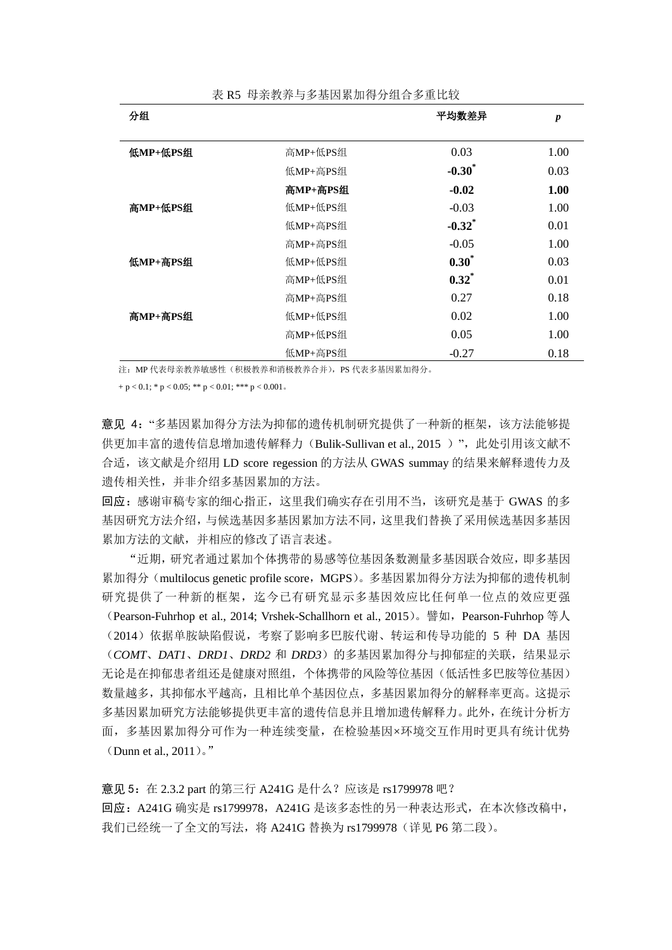| 分组       |          | 平均数差异                | $\boldsymbol{p}$ |
|----------|----------|----------------------|------------------|
|          |          |                      |                  |
| 低MP+低PS组 | 高MP+低PS组 | 0.03                 | 1.00             |
|          | 低MP+高PS组 | $-0.30^*$            | 0.03             |
|          | 高MP+高PS组 | $-0.02$              | 1.00             |
| 高MP+低PS组 | 低MP+低PS组 | $-0.03$              | 1.00             |
|          | 低MP+高PS组 | $-0.32$ <sup>*</sup> | 0.01             |
|          | 高MP+高PS组 | $-0.05$              | 1.00             |
| 低MP+高PS组 | 低MP+低PS组 | $0.30^*$             | 0.03             |
|          | 高MP+低PS组 | $0.32^*$             | 0.01             |
|          | 高MP+高PS组 | 0.27                 | 0.18             |
| 高MP+高PS组 | 低MP+低PS组 | 0.02                 | 1.00             |
|          | 高MP+低PS组 | 0.05                 | 1.00             |
|          | 低MP+高PS组 | $-0.27$              | 0.18             |

表 R5 母亲教养与多基因累加得分组合多重比较

注: MP 代表母亲教养敏感性(积极教养和消极教养合并), PS 代表多基因累加得分。

 $+p < 0.1$ ; \* p  $< 0.05$ ; \*\* p  $< 0.01$ ; \*\*\* p  $< 0.001$ .

意见 4: "多基因累加得分方法为抑郁的遗传机制研究提供了一种新的框架,该方法能够提 供更加丰富的遗传信息增加遗传解释力(Bulik-Sullivan et al., 2015)", 此处引用该文献不 合适,该文献是介绍用 LD score regession 的方法从 GWAS summay 的结果来解释遗传力及 遗传相关性,并非介绍多基因累加的方法。

回应:感谢审稿专家的细心指正,这里我们确实存在引用不当,该研究是基于 GWAS 的多 基因研究方法介绍,与候选基因多基因累加方法不同,这里我们替换了采用候选基因多基因 累加方法的文献,并相应的修改了语言表述。

"近期,研究者通过累加个体携带的易感等位基因条数测量多基因联合效应,即多基因 累加得分(multilocus genetic profile score, MGPS)。多基因累加得分方法为抑郁的遗传机制 研究提供了一种新的框架, 迄今已有研究显示多基因效应比任何单一位点的效应更强 (Pearson-Fuhrhop et al., 2014; Vrshek-Schallhorn et al., 2015)。譬如,Pearson-Fuhrhop 等人 (2014)依据单胺缺陷假说,考察了影响多巴胺代谢、转运和传导功能的 5 种 DA 基因 (*COMT*、*DAT1*、*DRD1*、*DRD2* 和 *DRD3*)的多基因累加得分与抑郁症的关联,结果显示 无论是在抑郁患者组还是健康对照组,个体携带的风险等位基因(低活性多巴胺等位基因) 数量越多,其抑郁水平越高,且相比单个基因位点,多基因累加得分的解释率更高。这提示 多基因累加研究方法能够提供更丰富的遗传信息并且增加遗传解释力。此外,在统计分析方 面,多基因累加得分可作为一种连续变量,在检验基因×环境交互作用时更具有统计优势 (Dunn et al., 2011)。"

意见 5: 在 2.3.2 part 的第三行 A241G 是什么?应该是 rs1799978 吧? 回应: A241G 确实是 rs1799978, A241G 是该多态性的另一种表达形式, 在本次修改稿中, 我们已经统一了全文的写法,将 A241G 替换为 rs1799978 (详见 P6 第二段)。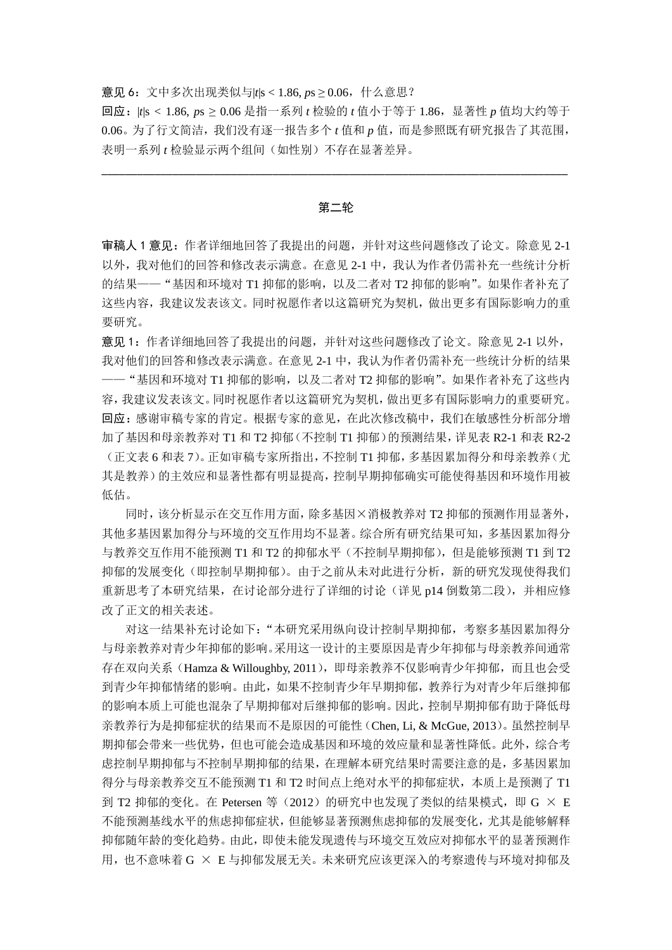意见 6:文中多次出现类似与|*t*|s < 1.86, *p*s ≥ 0.06,什么意思?

回应:|*t*|s < 1.86, *p*s ≥ 0.06 是指一系列 *t* 检验的 *t* 值小于等于 1.86,显著性 *p* 值均大约等于 0.06。为了行文简洁,我们没有逐一报告多个 *t* 值和 *p* 值,而是参照既有研究报告了其范围, 表明一系列 *t* 检验显示两个组间(如性别)不存在显著差异。

### 第二轮

\_\_\_\_\_\_\_\_\_\_\_\_\_\_\_\_\_\_\_\_\_\_\_\_\_\_\_\_\_\_\_\_\_\_\_\_\_\_\_\_\_\_\_\_\_\_\_\_\_\_\_\_\_\_\_\_\_\_\_\_\_\_\_\_\_\_\_\_\_\_\_\_\_\_\_\_\_\_\_

审稿人 1 意见:作者详细地回答了我提出的问题,并针对这些问题修改了论文。除意见 2-1 以外,我对他们的回答和修改表示满意。在意见 2-1 中,我认为作者仍需补充一些统计分析 的结果——"基因和环境对 T1 抑郁的影响, 以及二者对 T2 抑郁的影响"。如果作者补充了 这些内容,我建议发表该文。同时祝愿作者以这篇研究为契机,做出更多有国际影响力的重 要研究。

意见 1:作者详细地回答了我提出的问题,并针对这些问题修改了论文。除意见 2-1 以外, 我对他们的回答和修改表示满意。在意见 2-1 中,我认为作者仍需补充一些统计分析的结果 ——"基因和环境对 T1 抑郁的影响,以及二者对 T2 抑郁的影响"。如果作者补充了这些内 容,我建议发表该文。同时祝愿作者以这篇研究为契机,做出更多有国际影响力的重要研究。 回应:感谢审稿专家的肯定。根据专家的意见,在此次修改稿中,我们在敏感性分析部分增 加了基因和母亲教养对 T1 和 T2 抑郁(不控制 T1 抑郁)的预测结果,详见表 R2-1 和表 R2-2 (正文表 6 和表 7)。正如审稿专家所指出,不控制 T1 抑郁,多基因累加得分和母亲教养(尤 其是教养)的主效应和显著性都有明显提高,控制早期抑郁确实可能使得基因和环境作用被 低估。

同时,该分析显示在交互作用方面,除多基因×消极教养对 T2 抑郁的预测作用显著外, 其他多基因累加得分与环境的交互作用均不显著。综合所有研究结果可知,多基因累加得分 与教养交互作用不能预测 T1 和 T2 的抑郁水平(不控制早期抑郁), 但是能够预测 T1 到 T2 抑郁的发展变化(即控制早期抑郁)。由于之前从未对此进行分析,新的研究发现使得我们 重新思考了本研究结果,在讨论部分进行了详细的讨论(详见 p14 倒数第二段),并相应修 改了正文的相关表述。

对这一结果补充讨论如下:"本研究采用纵向设计控制早期抑郁,考察多基因累加得分 与母亲教养对青少年抑郁的影响。采用这一设计的主要原因是青少年抑郁与母亲教养间通常 存在双向关系(Hamza & Willoughby, 2011),即母亲教养不仅影响青少年抑郁,而且也会受 到青少年抑郁情绪的影响。由此,如果不控制青少年早期抑郁,教养行为对青少年后继抑郁 的影响本质上可能也混杂了早期抑郁对后继抑郁的影响。因此,控制早期抑郁有助于降低母 亲教养行为是抑郁症状的结果而不是原因的可能性(Chen, Li, & McGue, 2013)。虽然控制早 期抑郁会带来一些优势,但也可能会造成基因和环境的效应量和显著性降低。此外,综合考 虑控制早期抑郁与不控制早期抑郁的结果,在理解本研究结果时需要注意的是,多基因累加 得分与母亲教养交互不能预测 T1 和 T2 时间点上绝对水平的抑郁症状,本质上是预测了 T1 到 T2 抑郁的变化。在 Petersen 等(2012)的研究中也发现了类似的结果模式,即 G  $\times$  E 不能预测基线水平的焦虑抑郁症状,但能够显著预测焦虑抑郁的发展变化,尤其是能够解释 抑郁随年龄的变化趋势。由此,即使未能发现遗传与环境交互效应对抑郁水平的显著预测作 用,也不意味着 G × E 与抑郁发展无关。未来研究应该更深入的考察遗传与环境对抑郁及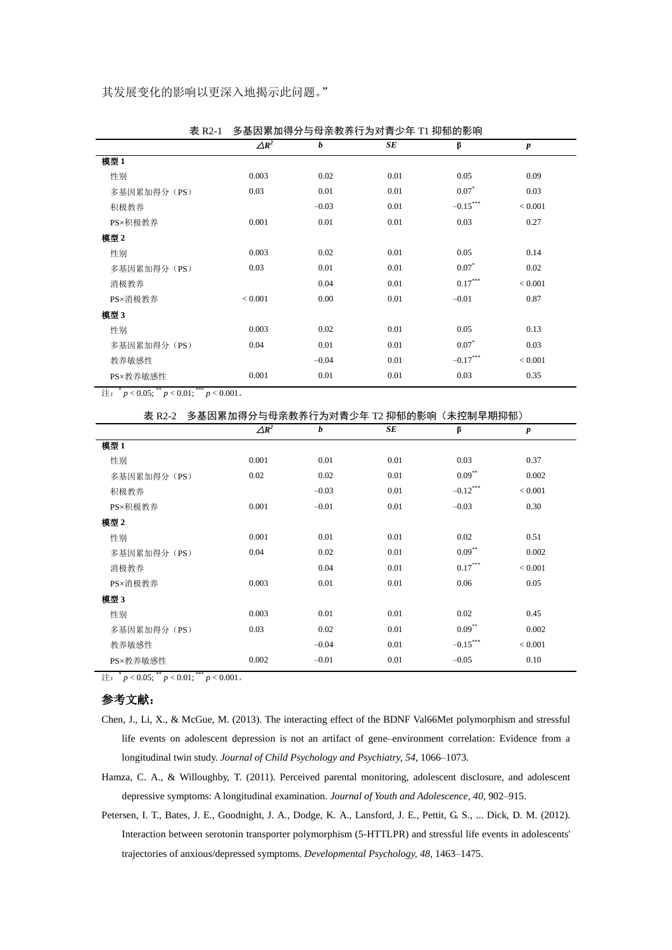|              | $\Delta R^2$ | b       | SE   | β          | $\boldsymbol{p}$ |
|--------------|--------------|---------|------|------------|------------------|
| 模型 1         |              |         |      |            |                  |
| 性别           | 0.003        | 0.02    | 0.01 | 0.05       | 0.09             |
| 多基因累加得分 (PS) | 0.03         | 0.01    | 0.01 | $0.07*$    | 0.03             |
| 积极教养         |              | $-0.03$ | 0.01 | $-0.15***$ | < 0.001          |
| PS×积极教养      | 0.001        | 0.01    | 0.01 | 0.03       | 0.27             |
| 模型 2         |              |         |      |            |                  |
| 性别           | 0.003        | 0.02    | 0.01 | 0.05       | 0.14             |
| 多基因累加得分 (PS) | 0.03         | 0.01    | 0.01 | $0.07*$    | 0.02             |
| 消极教养         |              | 0.04    | 0.01 | $0.17***$  | < 0.001          |
| PS×消极教养      | < 0.001      | 0.00    | 0.01 | $-0.01$    | 0.87             |
| 模型 3         |              |         |      |            |                  |
| 性别           | 0.003        | 0.02    | 0.01 | 0.05       | 0.13             |
| 多基因累加得分 (PS) | 0.04         | 0.01    | 0.01 | $0.07^*$   | 0.03             |
| 教养敏感性        |              | $-0.04$ | 0.01 | $-0.17***$ | < 0.001          |
| PS×教养敏感性     | 0.001        | 0.01    | 0.01 | 0.03       | 0.35             |

表 R2-1 多基因累加得分与母亲教养行为对青少年 T1 抑郁的影响

注:  $^*p < 0.05$ ;  $^*p < 0.01$ ;  $^{***}p < 0.001$  。

|              | 表 R2-2 多基因累加得分与母亲教养行为对青少年 T2 抑郁的影响 (未控制早期抑郁) |         |      |             |                  |  |
|--------------|----------------------------------------------|---------|------|-------------|------------------|--|
|              | $\Delta R^2$                                 | b       | SE   | β           | $\boldsymbol{p}$ |  |
| 模型 1         |                                              |         |      |             |                  |  |
| 性别           | 0.001                                        | 0.01    | 0.01 | 0.03        | 0.37             |  |
| 多基因累加得分 (PS) | 0.02                                         | 0.02    | 0.01 | $0.09***$   | 0.002            |  |
| 积极教养         |                                              | $-0.03$ | 0.01 | $-0.12$ *** | < 0.001          |  |
| PS×积极教养      | 0.001                                        | $-0.01$ | 0.01 | $-0.03$     | 0.30             |  |
| 模型 2         |                                              |         |      |             |                  |  |
| 性别           | 0.001                                        | 0.01    | 0.01 | 0.02        | 0.51             |  |
| 多基因累加得分 (PS) | 0.04                                         | 0.02    | 0.01 | $0.09**$    | 0.002            |  |
| 消极教养         |                                              | 0.04    | 0.01 | $0.17***$   | < 0.001          |  |
| PS×消极教养      | 0.003                                        | 0.01    | 0.01 | 0.06        | 0.05             |  |
| 模型 3         |                                              |         |      |             |                  |  |
| 性别           | 0.003                                        | 0.01    | 0.01 | 0.02        | 0.45             |  |
| 多基因累加得分 (PS) | 0.03                                         | 0.02    | 0.01 | $0.09$ **   | 0.002            |  |
| 教养敏感性        |                                              | $-0.04$ | 0.01 | $-0.15***$  | < 0.001          |  |
| PS×教养敏感性     | 0.002                                        | $-0.01$ | 0.01 | $-0.05$     | 0.10             |  |
|              |                                              |         |      |             |                  |  |

注:  $^*p < 0.05$ ;  $^*p < 0.01$ ;  $^{***}p < 0.001$  。

## 参考文献:

- Chen, J., Li, X., & McGue, M. (2013). The interacting effect of the BDNF Val66Met polymorphism and stressful life events on adolescent depression is not an artifact of gene–environment correlation: Evidence from a longitudinal twin study. *Journal of Child Psychology and Psychiatry, 54*, 1066–1073.
- Hamza, C. A., & Willoughby, T. (2011). Perceived parental monitoring, adolescent disclosure, and adolescent depressive symptoms: A longitudinal examination. *Journal of Youth and Adolescence, 40*, 902–915.
- Petersen, I. T., Bates, J. E., Goodnight, J. A., Dodge, K. A., Lansford, J. E., Pettit, G. S., ... Dick, D. M. (2012). Interaction between serotonin transporter polymorphism (5-HTTLPR) and stressful life events in adolescents' trajectories of anxious/depressed symptoms. *Developmental Psychology, 48*, 1463–1475.